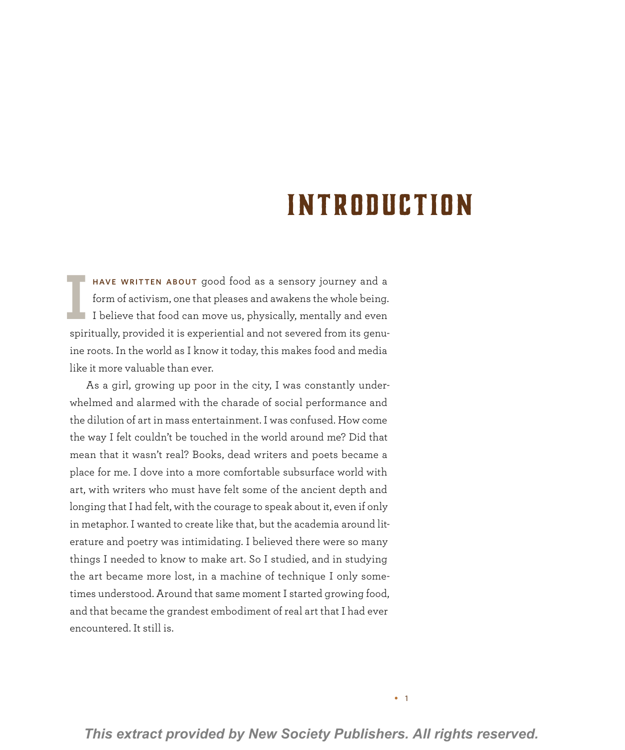# **INTRODUCTION**

**I HAVE WRITTEN ABOUT** good food as a sensory journey and a form of activism, one that pleases and awakens the whole being.<br>I believe that food can move us, physically, mentally and even spiritually provided it is experien form of activism, one that pleases and awakens the whole being. I believe that food can move us, physically, mentally and even spiritually, provided it is experiential and not severed from its genuine roots. In the world as I know it today, this makes food and media like it more valuable than ever.

As a girl, growing up poor in the city, I was constantly underwhelmed and alarmed with the charade of social performance and the dilution of art in mass entertainment. I was confused. How come the way I felt couldn't be touched in the world around me? Did that mean that it wasn't real? Books, dead writers and poets became a place for me. I dove into a more comfortable subsurface world with art, with writers who must have felt some of the ancient depth and longing that I had felt, with the courage to speak about it, even if only in metaphor. I wanted to create like that, but the academia around literature and poetry was intimidating. I believed there were so many things I needed to know to make art. So I studied, and in studying the art became more lost, in a machine of technique I only sometimes understood. Around that same moment I started growing food, and that became the grandest embodiment of real art that I had ever encountered. It still is.

*This extract provided by New Society Publishers. All rights reserved.*

**•** 1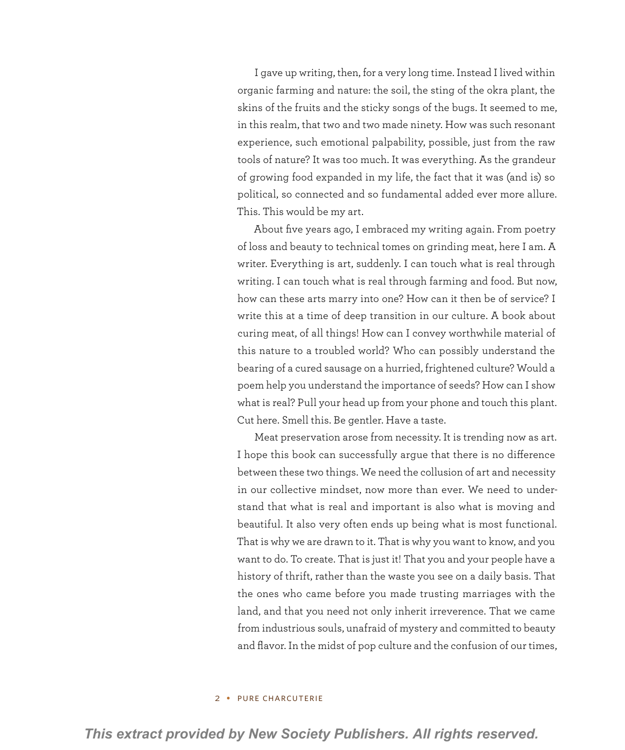I gave up writing, then, for a very long time. Instead I lived within organic farming and nature: the soil, the sting of the okra plant, the skins of the fruits and the sticky songs of the bugs. It seemed to me, in this realm, that two and two made ninety. How was such resonant experience, such emotional palpability, possible, just from the raw tools of nature? It was too much. It was everything. As the grandeur of growing food expanded in my life, the fact that it was (and is) so political, so connected and so fundamental added ever more allure. This. This would be my art.

About five years ago, I embraced my writing again. From poetry of loss and beauty to technical tomes on grinding meat, here I am. A writer. Everything is art, suddenly. I can touch what is real through writing. I can touch what is real through farming and food. But now, how can these arts marry into one? How can it then be of service? I write this at a time of deep transition in our culture. A book about curing meat, of all things! How can I convey worthwhile material of this nature to a troubled world? Who can possibly understand the bearing of a cured sausage on a hurried, frightened culture? Would a poem help you understand the importance of seeds? How can I show what is real? Pull your head up from your phone and touch this plant. Cut here. Smell this. Be gentler. Have a taste.

Meat preservation arose from necessity. It is trending now as art. I hope this book can successfully argue that there is no difference between these two things. We need the collusion of art and necessity in our collective mindset, now more than ever. We need to understand that what is real and important is also what is moving and beautiful. It also very often ends up being what is most functional. That is why we are drawn to it. That is why you want to know, and you want to do. To create. That is just it! That you and your people have a history of thrift, rather than the waste you see on a daily basis. That the ones who came before you made trusting marriages with the land, and that you need not only inherit irreverence. That we came from industrious souls, unafraid of mystery and committed to beauty and flavor. In the midst of pop culture and the confusion of our times,

#### 2 **•** pure charcuterie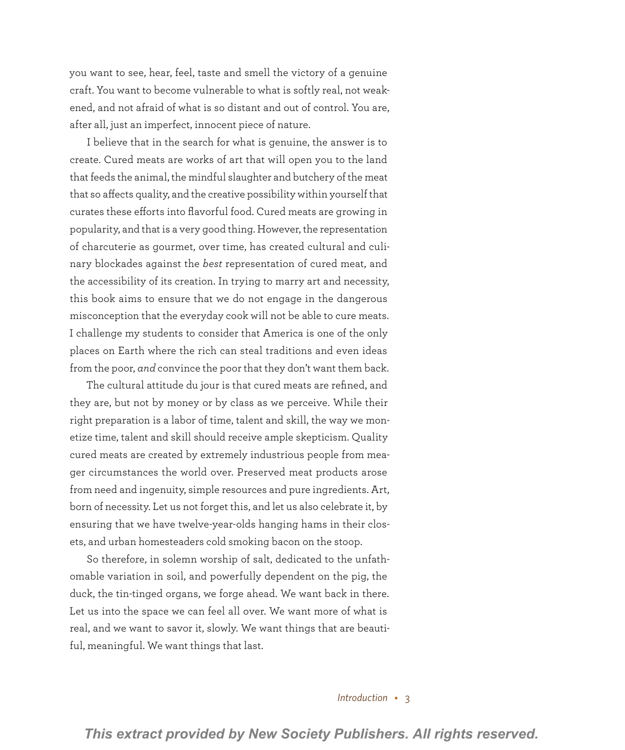you want to see, hear, feel, taste and smell the victory of a genuine craft. You want to become vulnerable to what is softly real, not weakened, and not afraid of what is so distant and out of control. You are, after all, just an imperfect, innocent piece of nature.

I believe that in the search for what is genuine, the answer is to create. Cured meats are works of art that will open you to the land that feeds the animal, the mindful slaughter and butchery of the meat that so affects quality, and the creative possibility within yourself that curates these efforts into flavorful food. Cured meats are growing in popularity, and that is a very good thing. However, the representation of charcuterie as gourmet, over time, has created cultural and culinary blockades against the *best* representation of cured meat, and the accessibility of its creation. In trying to marry art and necessity, this book aims to ensure that we do not engage in the dangerous misconception that the everyday cook will not be able to cure meats. I challenge my students to consider that America is one of the only places on Earth where the rich can steal traditions and even ideas from the poor, *and* convince the poor that they don't want them back.

The cultural attitude du jour is that cured meats are refined, and they are, but not by money or by class as we perceive. While their right preparation is a labor of time, talent and skill, the way we monetize time, talent and skill should receive ample skepticism. Quality cured meats are created by extremely industrious people from meager circumstances the world over. Preserved meat products arose from need and ingenuity, simple resources and pure ingredients. Art, born of necessity. Let us not forget this, and let us also celebrate it, by ensuring that we have twelve-year-olds hanging hams in their closets, and urban homesteaders cold smoking bacon on the stoop.

So therefore, in solemn worship of salt, dedicated to the unfathomable variation in soil, and powerfully dependent on the pig, the duck, the tin-tinged organs, we forge ahead. We want back in there. Let us into the space we can feel all over. We want more of what is real, and we want to savor it, slowly. We want things that are beautiful, meaningful. We want things that last.

#### *Introduction* **•** 3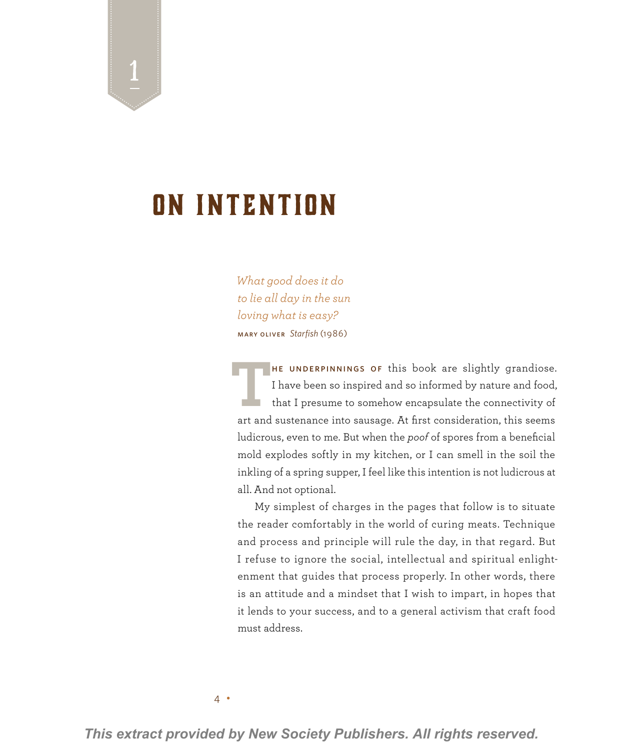# **ON INTENTION**

1

*What good does it do to lie all day in the sun loving what is easy?* Mary Oliver *Starfish* (1986)

**THE UNDERPINNINGS OF this book are slightly grandiose.**<br>I have been so inspired and so informed by nature and food, that I presume to somehow encapsulate the connectivity of art and sustanance into source  $\Delta t$  first cons I have been so inspired and so informed by nature and food, that I presume to somehow encapsulate the connectivity of art and sustenance into sausage. At first consideration, this seems ludicrous, even to me. But when the *poof* of spores from a beneficial mold explodes softly in my kitchen, or I can smell in the soil the inkling of a spring supper, I feel like this intention is not ludicrous at all. And not optional.

My simplest of charges in the pages that follow is to situate the reader comfortably in the world of curing meats. Technique and process and principle will rule the day, in that regard. But I refuse to ignore the social, intellectual and spiritual enlightenment that guides that process properly. In other words, there is an attitude and a mindset that I wish to impart, in hopes that it lends to your success, and to a general activism that craft food must address.

4 **•**

*This extract provided by New Society Publishers. All rights reserved.*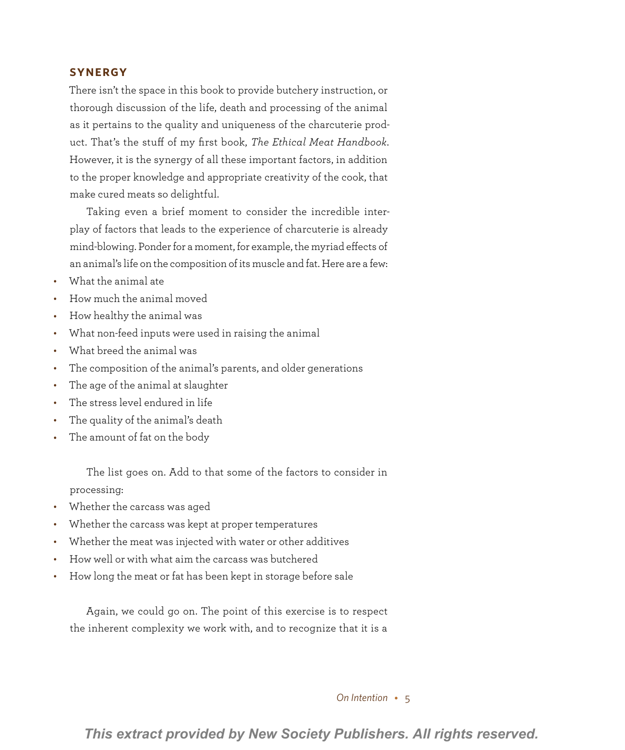### **Synergy**

There isn't the space in this book to provide butchery instruction, or thorough discussion of the life, death and processing of the animal as it pertains to the quality and uniqueness of the charcuterie product. That's the stuff of my first book, *The Ethical Meat Handbook*. However, it is the synergy of all these important factors, in addition to the proper knowledge and appropriate creativity of the cook, that make cured meats so delightful.

Taking even a brief moment to consider the incredible interplay of factors that leads to the experience of charcuterie is already mind-blowing. Ponder for a moment, for example, the myriad effects of an animal's life on the composition of its muscle and fat. Here are a few:

- What the animal ate
- How much the animal moved
- How healthy the animal was
- What non-feed inputs were used in raising the animal
- What breed the animal was
- The composition of the animal's parents, and older generations
- The age of the animal at slaughter
- The stress level endured in life
- The quality of the animal's death
- The amount of fat on the body

The list goes on. Add to that some of the factors to consider in processing:

- Whether the carcass was aged
- Whether the carcass was kept at proper temperatures
- Whether the meat was injected with water or other additives
- How well or with what aim the carcass was butchered
- How long the meat or fat has been kept in storage before sale

Again, we could go on. The point of this exercise is to respect the inherent complexity we work with, and to recognize that it is a

#### *On Intention* **•** 5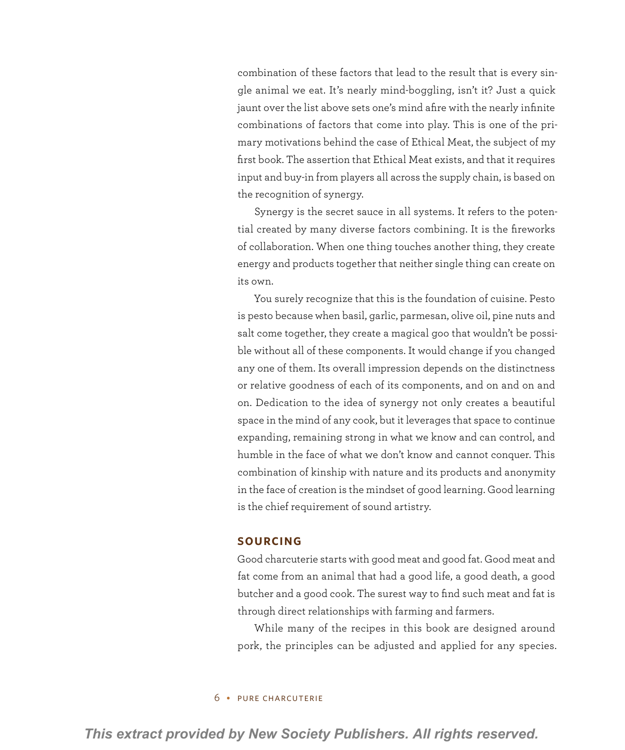combination of these factors that lead to the result that is every single animal we eat. It's nearly mind-boggling, isn't it? Just a quick jaunt over the list above sets one's mind afire with the nearly infinite combinations of factors that come into play. This is one of the primary motivations behind the case of Ethical Meat, the subject of my first book. The assertion that Ethical Meat exists, and that it requires input and buy-in from players all across the supply chain, is based on the recognition of synergy.

Synergy is the secret sauce in all systems. It refers to the potential created by many diverse factors combining. It is the fireworks of collaboration. When one thing touches another thing, they create energy and products together that neither single thing can create on its own.

You surely recognize that this is the foundation of cuisine. Pesto is pesto because when basil, garlic, parmesan, olive oil, pine nuts and salt come together, they create a magical goo that wouldn't be possible without all of these components. It would change if you changed any one of them. Its overall impression depends on the distinctness or relative goodness of each of its components, and on and on and on. Dedication to the idea of synergy not only creates a beautiful space in the mind of any cook, but it leverages that space to continue expanding, remaining strong in what we know and can control, and humble in the face of what we don't know and cannot conquer. This combination of kinship with nature and its products and anonymity in the face of creation is the mindset of good learning. Good learning is the chief requirement of sound artistry.

## **Sourcing**

Good charcuterie starts with good meat and good fat. Good meat and fat come from an animal that had a good life, a good death, a good butcher and a good cook. The surest way to find such meat and fat is through direct relationships with farming and farmers.

While many of the recipes in this book are designed around pork, the principles can be adjusted and applied for any species.

#### 6 **•** pure charcuterie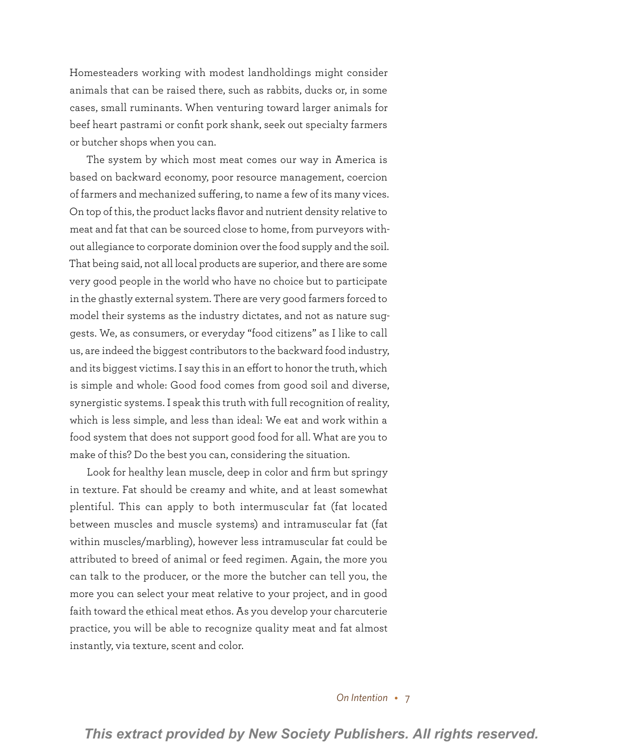Homesteaders working with modest landholdings might consider animals that can be raised there, such as rabbits, ducks or, in some cases, small ruminants. When venturing toward larger animals for beef heart pastrami or confit pork shank, seek out specialty farmers or butcher shops when you can.

The system by which most meat comes our way in America is based on backward economy, poor resource management, coercion of farmers and mechanized suffering, to name a few of its many vices. On top of this, the product lacks flavor and nutrient density relative to meat and fat that can be sourced close to home, from purveyors without allegiance to corporate dominion over the food supply and the soil. That being said, not all local products are superior, and there are some very good people in the world who have no choice but to participate in the ghastly external system. There are very good farmers forced to model their systems as the industry dictates, and not as nature suggests. We, as consumers, or everyday "food citizens" as I like to call us, are indeed the biggest contributors to the backward food industry, and its biggest victims. I say this in an effort to honor the truth, which is simple and whole: Good food comes from good soil and diverse, synergistic systems. I speak this truth with full recognition of reality, which is less simple, and less than ideal: We eat and work within a food system that does not support good food for all. What are you to make of this? Do the best you can, considering the situation.

Look for healthy lean muscle, deep in color and firm but springy in texture. Fat should be creamy and white, and at least somewhat plentiful. This can apply to both intermuscular fat (fat located between muscles and muscle systems) and intramuscular fat (fat within muscles/marbling), however less intramuscular fat could be attributed to breed of animal or feed regimen. Again, the more you can talk to the producer, or the more the butcher can tell you, the more you can select your meat relative to your project, and in good faith toward the ethical meat ethos. As you develop your charcuterie practice, you will be able to recognize quality meat and fat almost instantly, via texture, scent and color.

*On Intention* **•** 7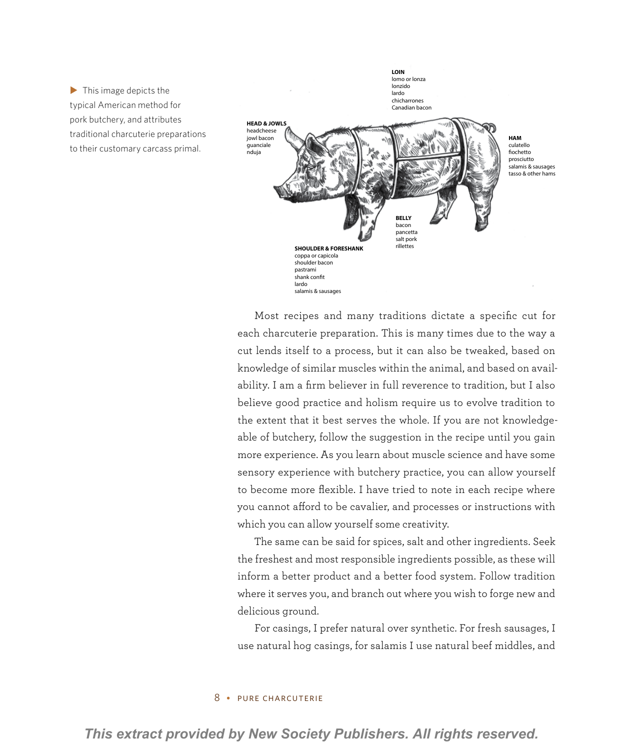$\blacktriangleright$  This image depicts the typical American method for pork butchery, and attributes traditional charcuterie preparations to their customary carcass primal.



Most recipes and many traditions dictate a specific cut for each charcuterie preparation. This is many times due to the way a cut lends itself to a process, but it can also be tweaked, based on knowledge of similar muscles within the animal, and based on availability. I am a firm believer in full reverence to tradition, but I also believe good practice and holism require us to evolve tradition to the extent that it best serves the whole. If you are not knowledgeable of butchery, follow the suggestion in the recipe until you gain more experience. As you learn about muscle science and have some sensory experience with butchery practice, you can allow yourself to become more flexible. I have tried to note in each recipe where you cannot afford to be cavalier, and processes or instructions with which you can allow yourself some creativity.

The same can be said for spices, salt and other ingredients. Seek the freshest and most responsible ingredients possible, as these will inform a better product and a better food system. Follow tradition where it serves you, and branch out where you wish to forge new and delicious ground.

For casings, I prefer natural over synthetic. For fresh sausages, I use natural hog casings, for salamis I use natural beef middles, and

#### 8 **•** pure charcuterie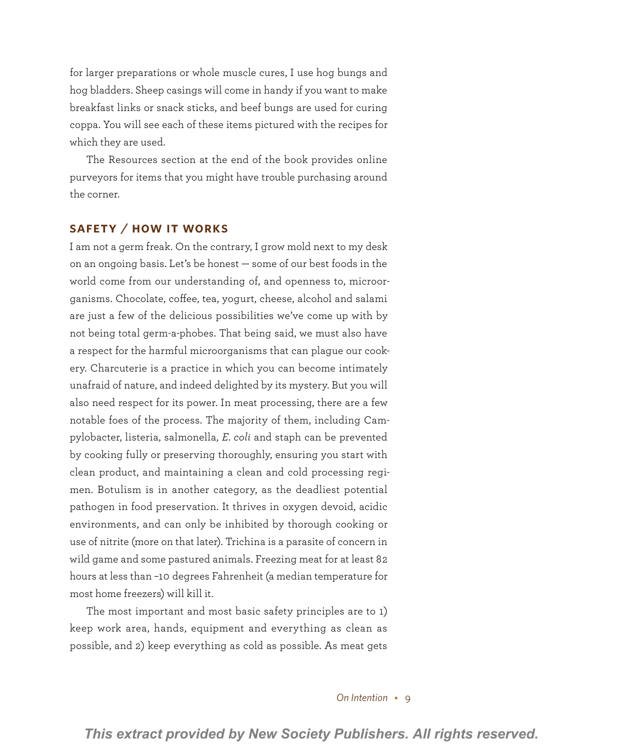for larger preparations or whole muscle cures, I use hog bungs and hog bladders. Sheep casings will come in handy if you want to make breakfast links or snack sticks, and beef bungs are used for curing coppa. You will see each of these items pictured with the recipes for which they are used.

The Resources section at the end of the book provides online purveyors for items that you might have trouble purchasing around the corner.

## **Safety / How it Works**

I am not a germ freak. On the contrary, I grow mold next to my desk on an ongoing basis. Let's be honest — some of our best foods in the world come from our understanding of, and openness to, microorganisms. Chocolate, coffee, tea, yogurt, cheese, alcohol and salami are just a few of the delicious possibilities we've come up with by not being total germ-a-phobes. That being said, we must also have a respect for the harmful microorganisms that can plague our cookery. Charcuterie is a practice in which you can become intimately unafraid of nature, and indeed delighted by its mystery. But you will also need respect for its power. In meat processing, there are a few notable foes of the process. The majority of them, including Campylobacter, listeria, salmonella, *E. coli* and staph can be prevented by cooking fully or preserving thoroughly, ensuring you start with clean product, and maintaining a clean and cold processing regimen. Botulism is in another category, as the deadliest potential pathogen in food preservation. It thrives in oxygen devoid, acidic environments, and can only be inhibited by thorough cooking or use of nitrite (more on that later). Trichina is a parasite of concern in wild game and some pastured animals. Freezing meat for at least 82 hours at less than –10 degrees Fahrenheit (a median temperature for most home freezers) will kill it.

The most important and most basic safety principles are to 1) keep work area, hands, equipment and everything as clean as possible, and 2) keep everything as cold as possible. As meat gets

*On Intention* **•** 9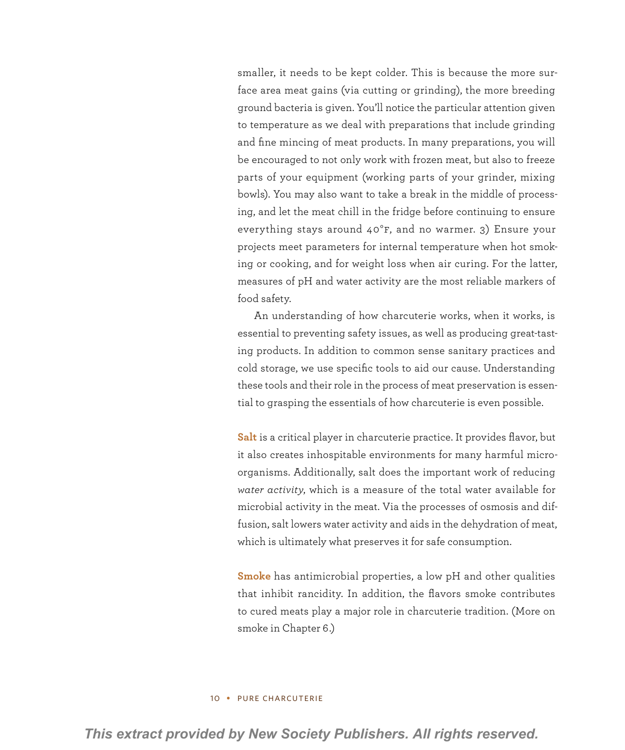smaller, it needs to be kept colder. This is because the more surface area meat gains (via cutting or grinding), the more breeding ground bacteria is given. You'll notice the particular attention given to temperature as we deal with preparations that include grinding and fine mincing of meat products. In many preparations, you will be encouraged to not only work with frozen meat, but also to freeze parts of your equipment (working parts of your grinder, mixing bowls). You may also want to take a break in the middle of processing, and let the meat chill in the fridge before continuing to ensure everything stays around 40°F, and no warmer. 3) Ensure your projects meet parameters for internal temperature when hot smoking or cooking, and for weight loss when air curing. For the latter, measures of pH and water activity are the most reliable markers of food safety.

An understanding of how charcuterie works, when it works, is essential to preventing safety issues, as well as producing great-tasting products. In addition to common sense sanitary practices and cold storage, we use specific tools to aid our cause. Understanding these tools and their role in the process of meat preservation is essential to grasping the essentials of how charcuterie is even possible.

**Salt** is a critical player in charcuterie practice. It provides flavor, but it also creates inhospitable environments for many harmful microorganisms. Additionally, salt does the important work of reducing *water activity*, which is a measure of the total water available for microbial activity in the meat. Via the processes of osmosis and diffusion, salt lowers water activity and aids in the dehydration of meat, which is ultimately what preserves it for safe consumption.

**Smoke** has antimicrobial properties, a low pH and other qualities that inhibit rancidity. In addition, the flavors smoke contributes to cured meats play a major role in charcuterie tradition. (More on smoke in Chapter 6.)

#### 10 **•** pure charcuterie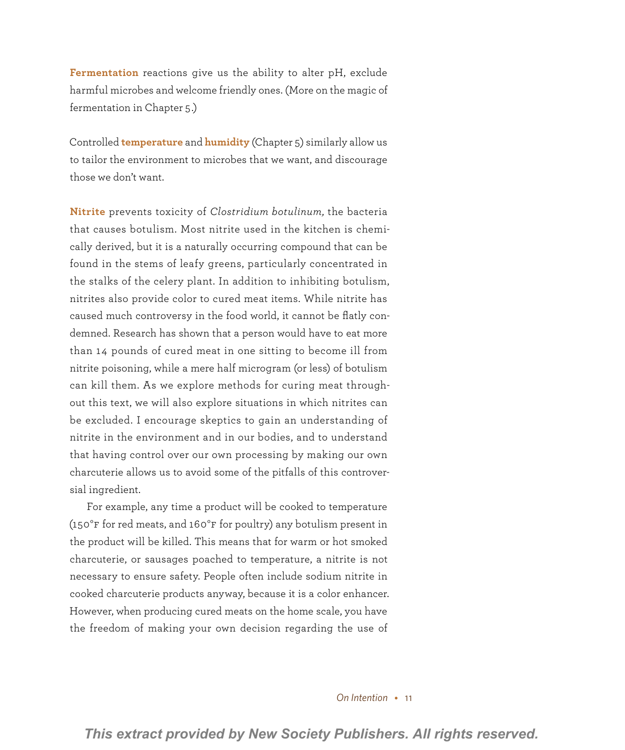**Fermentation** reactions give us the ability to alter pH, exclude harmful microbes and welcome friendly ones. (More on the magic of fermentation in Chapter 5.)

Controlled **temperature** and **humidity** (Chapter 5) similarly allow us to tailor the environment to microbes that we want, and discourage those we don't want.

**Nitrite** prevents toxicity of *Clostridium botulinum,* the bacteria that causes botulism. Most nitrite used in the kitchen is chemically derived, but it is a naturally occurring compound that can be found in the stems of leafy greens, particularly concentrated in the stalks of the celery plant. In addition to inhibiting botulism, nitrites also provide color to cured meat items. While nitrite has caused much controversy in the food world, it cannot be flatly condemned. Research has shown that a person would have to eat more than 14 pounds of cured meat in one sitting to become ill from nitrite poisoning, while a mere half microgram (or less) of botulism can kill them. As we explore methods for curing meat throughout this text, we will also explore situations in which nitrites can be excluded. I encourage skeptics to gain an understanding of nitrite in the environment and in our bodies, and to understand that having control over our own processing by making our own charcuterie allows us to avoid some of the pitfalls of this controversial ingredient.

For example, any time a product will be cooked to temperature (150°F for red meats, and 160°F for poultry) any botulism present in the product will be killed. This means that for warm or hot smoked charcuterie, or sausages poached to temperature, a nitrite is not necessary to ensure safety. People often include sodium nitrite in cooked charcuterie products anyway, because it is a color enhancer. However, when producing cured meats on the home scale, you have the freedom of making your own decision regarding the use of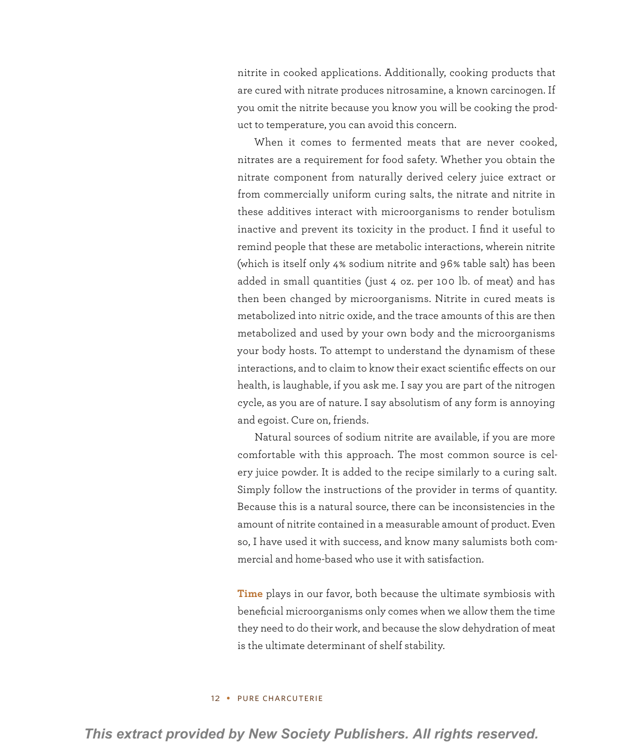nitrite in cooked applications. Additionally, cooking products that are cured with nitrate produces nitrosamine, a known carcinogen. If you omit the nitrite because you know you will be cooking the product to temperature, you can avoid this concern.

When it comes to fermented meats that are never cooked, nitrates are a requirement for food safety. Whether you obtain the nitrate component from naturally derived celery juice extract or from commercially uniform curing salts, the nitrate and nitrite in these additives interact with microorganisms to render botulism inactive and prevent its toxicity in the product. I find it useful to remind people that these are metabolic interactions, wherein nitrite (which is itself only 4% sodium nitrite and 96% table salt) has been added in small quantities (just 4 oz. per 100 lb. of meat) and has then been changed by microorganisms. Nitrite in cured meats is metabolized into nitric oxide, and the trace amounts of this are then metabolized and used by your own body and the microorganisms your body hosts. To attempt to understand the dynamism of these interactions, and to claim to know their exact scientific effects on our health, is laughable, if you ask me. I say you are part of the nitrogen cycle, as you are of nature. I say absolutism of any form is annoying and egoist. Cure on, friends.

Natural sources of sodium nitrite are available, if you are more comfortable with this approach. The most common source is celery juice powder. It is added to the recipe similarly to a curing salt. Simply follow the instructions of the provider in terms of quantity. Because this is a natural source, there can be inconsistencies in the amount of nitrite contained in a measurable amount of product. Even so, I have used it with success, and know many salumists both commercial and home-based who use it with satisfaction.

**Time** plays in our favor, both because the ultimate symbiosis with beneficial microorganisms only comes when we allow them the time they need to do their work, and because the slow dehydration of meat is the ultimate determinant of shelf stability.

#### 12 **•** pure charcuterie